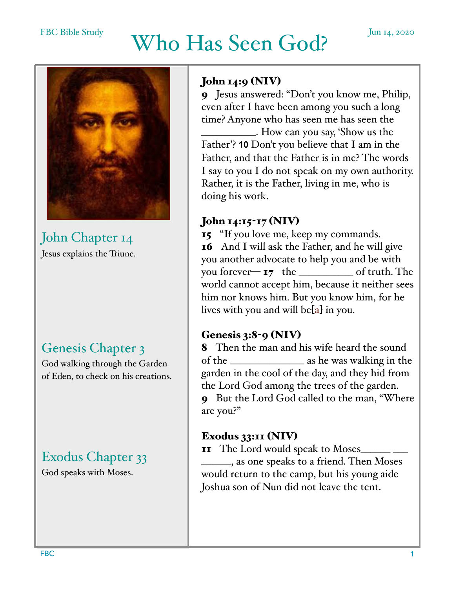# FBC Bible Study Who Has Seen God? Jun 14, 2020



John Chapter 14 Jesus explains the Triune.

# Genesis Chapter 3

God walking through the Garden of Eden, to check on his creations.

# Exodus Chapter 33

God speaks with Moses.

### John 14:9 (NIV)

9 Jesus answered: "Don't you know me, Philip, even after I have been among you such a long time? Anyone who has seen me has seen the

\_\_\_\_\_\_\_\_\_\_\_. How can you say, 'Show us the Father'? **10** Don't you believe that I am in the Father, and that the Father is in me? The words I say to you I do not speak on my own authority. Rather, it is the Father, living in me, who is doing his work.

#### John 14:15-17 (NIV)

15 "If you love me, keep my commands. 16 And I will ask the Father, and he will give you another advocate to help you and be with you forever— 17 the \_\_\_\_\_\_\_\_\_\_\_ of truth. The world cannot accept him, because it neither sees him nor knows him. But you know him, for he lives with you and will be[a] in you.

#### Genesis 3:8-9 (NIV)

8 Then the man and his wife heard the sound of the \_\_\_\_\_\_\_\_\_\_\_\_\_\_\_ as he was walking in the garden in the cool of the day, and they hid from the Lord God among the trees of the garden. 9 But the Lord God called to the man, "Where are you?"

#### Exodus 33:11 (NIV)

11 The Lord would speak to Moses\_

\_\_\_\_\_\_, as one speaks to a friend. Then Moses would return to the camp, but his young aide Joshua son of Nun did not leave the tent.